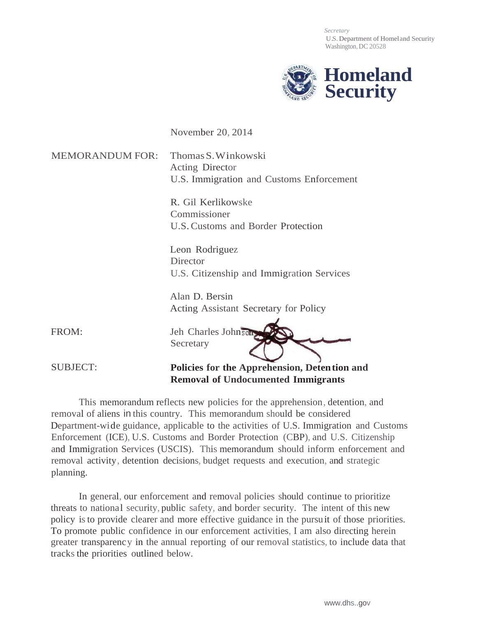*Secretary* U.S. Department of Homeland Security Washington, DC 20528



November 20, 2014

MEMORANDUM FOR: ThomasS. Winkowski Acting Director U.S. Immigration and Customs Enforcement

> R. Gil Kerlikowske Commissioner U.S. Customs and Border Protection

Leon Rodriguez **Director** U.S. Citizenship and Immigration Services

Alan D. Bersin Acting Assistant Secretary for Policy

FROM: Jeh Charles Johnson **Secretary** 

SUBJECT: **Policies for the Apprehension, Detention and Removal of Undocumented Immigrants**

This memorandum reflects new policies for the apprehension, detention, and removal of aliens in this country. This memorandum should be considered Department-wide guidance, applicable to the activities of U.S. Immigration and Customs Enforcement (ICE), U.S. Customs and Border Protection (CBP), and U.S. Citizenship and Immigration Services (USCIS). This memorandum should inform enforcement and removal activity, detention decisions, budget requests and execution, and strategic planning.

In general, our enforcement and removal policies should continue to prioritize threats to national security, public safety, and border security. The intent of this new policy is to provide clearer and more effective guidance in the pursuit of those priorities. To promote public confidence in our enforcement activities, I am also directing herein greater transparency in the annual reporting of our removal statistics, to include data that tracks the priorities outlined below.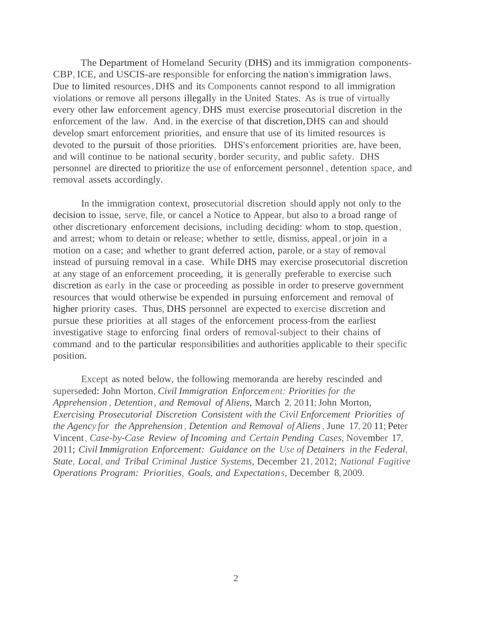The Department of Homeland Security (DHS) and its immigration components-CBP, ICE, and USCIS-are responsible for enforcing the nation's immigration laws. Due to limited resources, DHS and its Components cannot respond to all immigration violations or remove all persons illegally in the United States. As is true of virtually every other law enforcement agency, DHS must exercise prosecutorial discretion in the enforcement of the law. And, in the exercise of that discretion,DHS can and should develop smart enforcement priorities, and ensure that use of its limited resources is devoted to the pursuit of those priorities. DHS's enforcement priorities are, have been, and will continue to be national security, border security, and public safety. DHS personnel are directed to prioritize the use of enforcement personnel , detention space, and removal assets accordingly.

In the immigration context, prosecutorial discretion should apply not only to the decision to issue, serve, file, or cancel a Notice to Appear, but also to a broad range of other discretionary enforcement decisions, including deciding: whom to stop, question, and arrest; whom to detain or release; whether to settle, dismiss, appeal, or join in a motion on a case; and whether to grant deferred action, parole, or a stay of removal instead of pursuing removal in a case. While DHS may exercise prosecutorial discretion at any stage of an enforcement proceeding, it is generally preferable to exercise such discretion as early in the case or proceeding as possible in order to preserve government resources that would otherwise be expended in pursuing enforcement and removal of higher priority cases. Thus, DHS personnel are expected to exercise discretion and pursue these priorities at all stages of the enforcement process-from the earliest investigative stage to enforcing final orders of removal-subject to their chains of command and to the particular responsibilities and authorities applicable to their specific position.

Except as noted below, the following memoranda are hereby rescinded and superseded: John Morton, *Civil Immigration Enforcement: Priorities for the Apprehension , Detention, and Removal of Aliens,* March 2, 2011; John Morton, *Exercising Prosecutorial Discretion Consistent with the Civil Enforcement Priorities of the Agency for the Apprehension , Detention and Removal of Aliens,* June 17, 20 11; Peter Vincent, *Case-by-Case Review of Incoming and Certain Pending Cases,* November 17, 2011; *Civil Immigration Enforcement: Guidance on the Use of Detainers in the Federal, State, Local, and Tribal Criminal Justice Systems,* December 21, 2012; *National Fugitive Operations Program: Priorities, Goals, and Expectations,* December 8, 2009.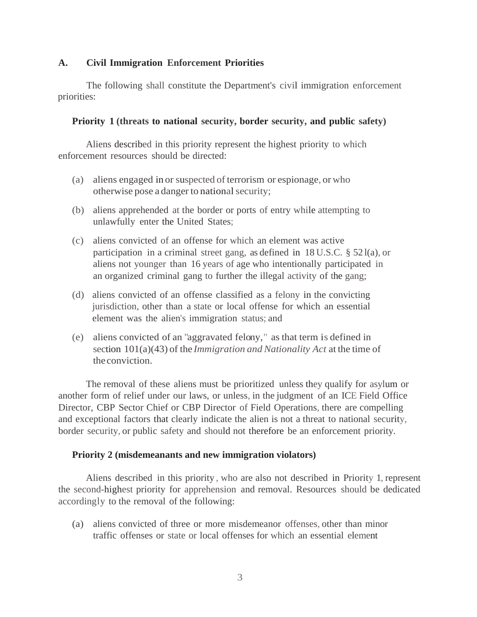#### **A. Civil Immigration Enforcement Priorities**

The following shall constitute the Department's civil immigration enforcement priorities:

#### **Priority 1 (threats to national security, border security, and public safety)**

Aliens described in this priority represent the highest priority to which enforcement resources should be directed:

- (a) aliens engaged in or suspected of terrorism or espionage, or who otherwise pose a danger to national security;
- (b) aliens apprehended at the border or ports of entry while attempting to unlawfully enter the United States;
- (c) aliens convicted of an offense for which an element was active participation in a criminal street gang, as defined in 18 U.S.C. § 52 l(a), or aliens not younger than 16 years of age who intentionally participated in an organized criminal gang to further the illegal activity of the gang;
- (d) aliens convicted of an offense classified as a felony in the convicting jurisdiction, other than a state or local offense for which an essential element was the alien's immigration status; and
- (e) aliens convicted of an "aggravated felony," as that term is defined in section 101(a)(43) of the *Immigration and Nationality Act* at the time of theconviction.

The removal of these aliens must be prioritized unless they qualify for asylum or another form of relief under our laws, or unless, in the judgment of an ICE Field Office Director, CBP Sector Chief or CBP Director of Field Operations, there are compelling and exceptional factors that clearly indicate the alien is not a threat to national security, border security, or public safety and should not therefore be an enforcement priority.

#### **Priority 2 (misdemeanants and new immigration violators)**

Aliens described in this priority , who are also not described in Priority 1, represent the second-highest priority for apprehension and removal. Resources should be dedicated accordingly to the removal of the following:

(a) aliens convicted of three or more misdemeanor offenses, other than minor traffic offenses or state or local offenses for which an essential element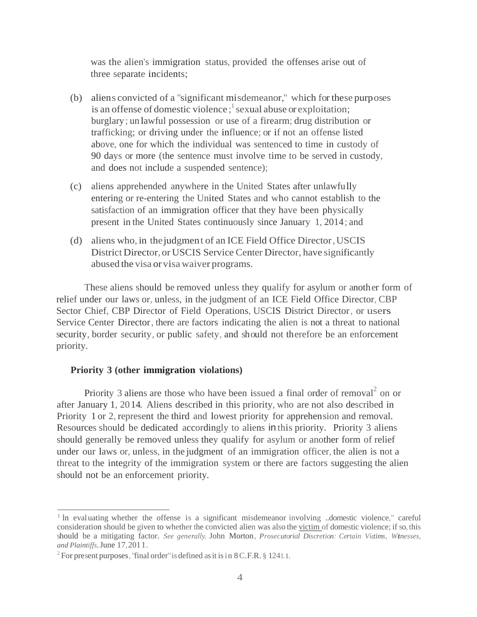was the alien's immigration status, provided the offenses arise out of three separate incidents;

- (b) aliens convicted of a "significant misdemeanor," which for these purposes is an offense of domestic violence;<sup>1</sup> sexual abuse or exploitation; burglary; un lawful possession or use of a firearm; drug distribution or trafficking; or driving under the influence; or if not an offense listed above, one for which the individual was sentenced to time in custody of 90 days or more (the sentence must involve time to be served in custody, and does not include a suspended sentence);
- (c) aliens apprehended anywhere in the United States after unlawfully entering or re-entering the United States and who cannot establish to the satisfaction of an immigration officer that they have been physically present in the United States continuously since January 1, 2014 ; and
- (d) aliens who, in the judgment of an ICE Field Office Director, USCIS District Director, or USCIS Service Center Director, have significantly abused the visa orvisa waiver programs.

These aliens should be removed unless they qualify for asylum or another form of relief under our laws or, unless, in the judgment of an ICE Field Office Director, CBP Sector Chief, CBP Director of Field Operations, USCIS District Director, or users Service Center Director, there are factors indicating the alien is not a threat to national security, border security, or public safety, and should not therefore be an enforcement priority.

#### **Priority 3 (other immigration violations)**

Priority 3 aliens are those who have been issued a final order of removal<sup>2</sup> on or after January 1, 2014. Aliens described in this priority, who are not also described in Priority 1 or 2, represent the third and lowest priority for apprehension and removal. Resources should be dedicated accordingly to aliens in this priority. Priority 3 aliens should generally be removed unless they qualify for asylum or another form of relief under our laws or, unless, in the judgment of an immigration officer, the alien is not a threat to the integrity of the immigration system or there are factors suggesting the alien should not be an enforcement priority.

<sup>1</sup> ln evaluating whether the offense is a significant misdemeanor involving ..domestic violence," careful consideration should be given to whether the convicted alien was also the victim of domestic violence; if so, this should be a mitigating factor. *See generally,* John Morton, *Prosecutorial Discretion: Certain Victims, Witnesses, and Plaintiffs,*June 17, 201 1.

<sup>&</sup>lt;sup>2</sup> For present purposes, "final order" is defined as it is in  $8$  C.F.R.  $\S$  1241.1.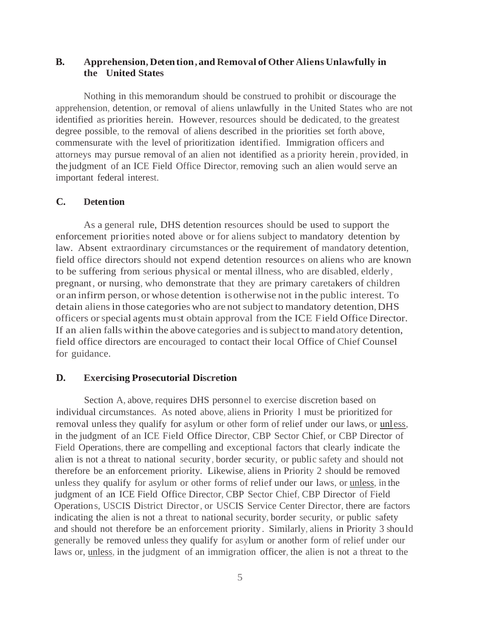# **B. Apprehension, Deten tion, and Removal ofOther Aliens Unlawfully in the United States**

Nothing in this memorandum should be construed to prohibit or discourage the apprehension, detention, or removal of aliens unlawfully in the United States who are not identified as priorities herein. However, resources should be dedicated, to the greatest degree possible, to the removal of aliens described in the priorities set forth above, commensurate with the level of prioritization identified. Immigration officers and attorneys may pursue removal of an alien not identified as a priority herein, provided, in the judgment of an ICE Field Office Director, removing such an alien would serve an important federal interest.

#### **C. Detention**

As a general rule, DHS detention resources should be used to support the enforcement priorities noted above or for aliens subject to mandatory detention by law. Absent extraordinary circumstances or the requirement of mandatory detention, field office directors should not expend detention resources on aliens who are known to be suffering from serious physical or mental illness, who are disabled, elderly, pregnant, or nursing, who demonstrate that they are primary caretakers of children or an infirm person, or whose detention is otherwise not in the public interest. To detain aliens in those categories who are not subject to mandatory detention, DHS officers or special agents must obtain approval from the ICE Field Office Director. If an alien falls within the above categories and is subject to mandatory detention, field office directors are encouraged to contact their local Office of Chief Counsel for guidance.

# **D. Exercising Prosecutorial Discretion**

Section A, above, requires DHS personnel to exercise discretion based on individual circumstances. As noted above, aliens in Priority l must be prioritized for removal unless they qualify for asylum or other form of relief under our laws, or unless, in the judgment of an ICE Field Office Director, CBP Sector Chief, or CBP Director of Field Operations, there are compelling and exceptional factors that clearly indicate the alien is not a threat to national security, border security, or public safety and should not therefore be an enforcement priority. Likewise, aliens in Priority 2 should be removed unless they qualify for asylum or other forms of relief under our laws, or unless, in the judgment of an ICE Field Office Director, CBP Sector Chief, CBP Director of Field Operations, USCIS District Director, or USCIS Service Center Director, there are factors indicating the alien is not a threat to national security, border security, or public safety and should not therefore be an enforcement priority . Similarly, aliens in Priority 3 should generally be removed unless they qualify for asylum or another form of relief under our laws or, unless, in the judgment of an immigration officer, the alien is not a threat to the